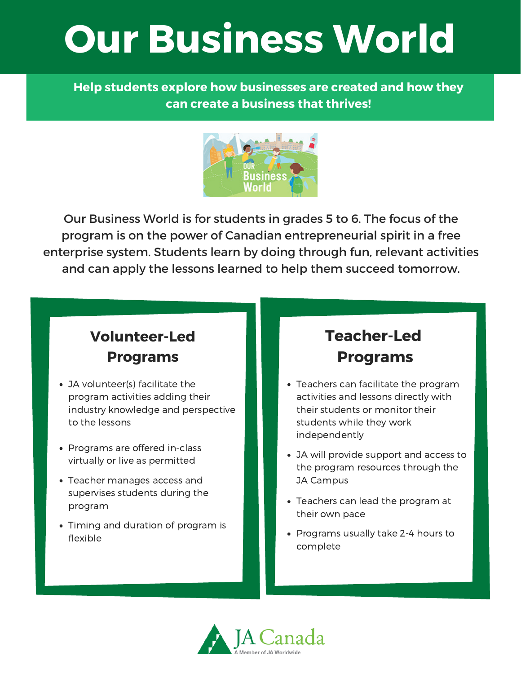# **Our Business World**

**Help students explore how businesses are created and how they can create a business that thrives!**



Our Business World is for students in grades 5 to 6. The focus of the program is on the power of Canadian entrepreneurial spirit in a free enterprise system. Students learn by doing through fun, relevant activities and can apply the lessons learned to help them succeed tomorrow.

### **Volunteer-Led Programs**

- JA volunteer(s) facilitate the program activities adding their industry knowledge and perspective to the lessons
- Programs are offered in-class virtually or live as permitted
- Teacher manages access and supervises students during the program
- Timing and duration of program is flexible

### **Teacher-Led Programs**

- Teachers can facilitate the program activities and lessons directly with their students or monitor their students while they work independently
- JA will provide support and access to the program resources through the JA Campus
- Teachers can lead the program at their own pace
- Programs usually take 2-4 hours to complete